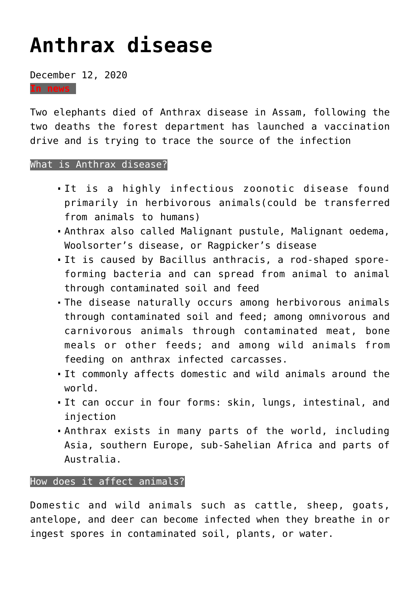# **[Anthrax disease](https://journalsofindia.com/anthrax-disease/)**

December 12, 2020

**In news**

Two elephants died of Anthrax disease in Assam, following the two deaths the forest department has launched a vaccination drive and is trying to trace the source of the infection

#### What is Anthrax disease?

- It is a highly infectious zoonotic disease found primarily in herbivorous animals(could be transferred from animals to humans)
- Anthrax also called Malignant pustule, Malignant oedema, Woolsorter's disease, or Ragpicker's disease
- It is caused by Bacillus anthracis, a rod-shaped sporeforming bacteria and can spread from animal to animal through contaminated soil and feed
- The disease naturally occurs among herbivorous animals through contaminated soil and feed; among omnivorous and carnivorous animals through contaminated meat, bone meals or other feeds; and among wild animals from feeding on anthrax infected carcasses.
- It commonly affects domestic and wild animals around the world.
- It can occur in four forms: skin, lungs, intestinal, and injection
- Anthrax exists in many parts of the world, including Asia, southern Europe, sub-Sahelian Africa and parts of Australia.

### How does it affect animals?

Domestic and wild animals such as cattle, sheep, goats, antelope, and deer can become infected when they breathe in or ingest spores in contaminated soil, plants, or water.